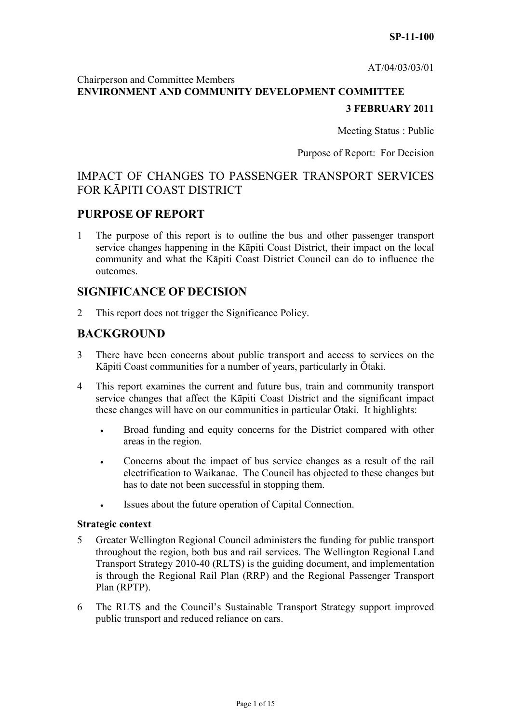AT/04/03/03/01

# Chairperson and Committee Members **ENVIRONMENT AND COMMUNITY DEVELOPMENT COMMITTEE 3 FEBRUARY 2011**

Meeting Status : Public

Purpose of Report: For Decision

# IMPACT OF CHANGES TO PASSENGER TRANSPORT SERVICES FOR KĀPITI COAST DISTRICT

## **PURPOSE OF REPORT**

1 The purpose of this report is to outline the bus and other passenger transport service changes happening in the Kāpiti Coast District, their impact on the local community and what the Kāpiti Coast District Council can do to influence the outcomes.

# **SIGNIFICANCE OF DECISION**

2 This report does not trigger the Significance Policy.

## **BACKGROUND**

- 3 There have been concerns about public transport and access to services on the Kāpiti Coast communities for a number of years, particularly in Ōtaki.
- 4 This report examines the current and future bus, train and community transport service changes that affect the Kāpiti Coast District and the significant impact these changes will have on our communities in particular Ōtaki. It highlights:
	- Broad funding and equity concerns for the District compared with other areas in the region.
	- Concerns about the impact of bus service changes as a result of the rail electrification to Waikanae. The Council has objected to these changes but has to date not been successful in stopping them.
	- Issues about the future operation of Capital Connection.

## **Strategic context**

- 5 Greater Wellington Regional Council administers the funding for public transport throughout the region, both bus and rail services. The Wellington Regional Land Transport Strategy 2010-40 (RLTS) is the guiding document, and implementation is through the Regional Rail Plan (RRP) and the Regional Passenger Transport Plan (RPTP).
- 6 The RLTS and the Council's Sustainable Transport Strategy support improved public transport and reduced reliance on cars.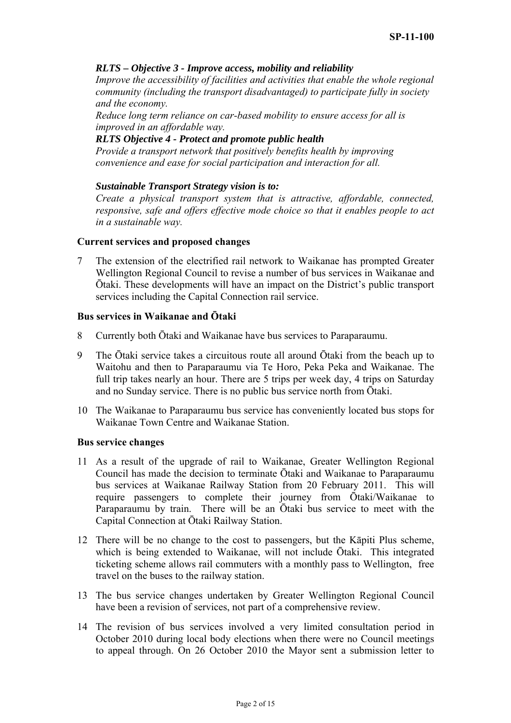## *RLTS – Objective 3 - Improve access, mobility and reliability*

*Improve the accessibility of facilities and activities that enable the whole regional community (including the transport disadvantaged) to participate fully in society and the economy.* 

*Reduce long term reliance on car-based mobility to ensure access for all is improved in an affordable way.* 

## *RLTS Objective 4 - Protect and promote public health*

*Provide a transport network that positively benefits health by improving convenience and ease for social participation and interaction for all.* 

## *Sustainable Transport Strategy vision is to:*

*Create a physical transport system that is attractive, affordable, connected, responsive, safe and offers effective mode choice so that it enables people to act in a sustainable way.* 

#### **Current services and proposed changes**

7 The extension of the electrified rail network to Waikanae has prompted Greater Wellington Regional Council to revise a number of bus services in Waikanae and Ōtaki. These developments will have an impact on the District's public transport services including the Capital Connection rail service.

## **Bus services in Waikanae and Ōtaki**

- 8 Currently both Ōtaki and Waikanae have bus services to Paraparaumu.
- 9 The Ōtaki service takes a circuitous route all around Ōtaki from the beach up to Waitohu and then to Paraparaumu via Te Horo, Peka Peka and Waikanae. The full trip takes nearly an hour. There are 5 trips per week day, 4 trips on Saturday and no Sunday service. There is no public bus service north from Ōtaki.
- 10 The Waikanae to Paraparaumu bus service has conveniently located bus stops for Waikanae Town Centre and Waikanae Station.

#### **Bus service changes**

- 11 As a result of the upgrade of rail to Waikanae, Greater Wellington Regional Council has made the decision to terminate Ōtaki and Waikanae to Paraparaumu bus services at Waikanae Railway Station from 20 February 2011. This will require passengers to complete their journey from Ōtaki/Waikanae to Paraparaumu by train. There will be an Ōtaki bus service to meet with the Capital Connection at Ōtaki Railway Station.
- 12 There will be no change to the cost to passengers, but the Kāpiti Plus scheme, which is being extended to Waikanae, will not include Otaki. This integrated ticketing scheme allows rail commuters with a monthly pass to Wellington, free travel on the buses to the railway station.
- 13 The bus service changes undertaken by Greater Wellington Regional Council have been a revision of services, not part of a comprehensive review.
- 14 The revision of bus services involved a very limited consultation period in October 2010 during local body elections when there were no Council meetings to appeal through. On 26 October 2010 the Mayor sent a submission letter to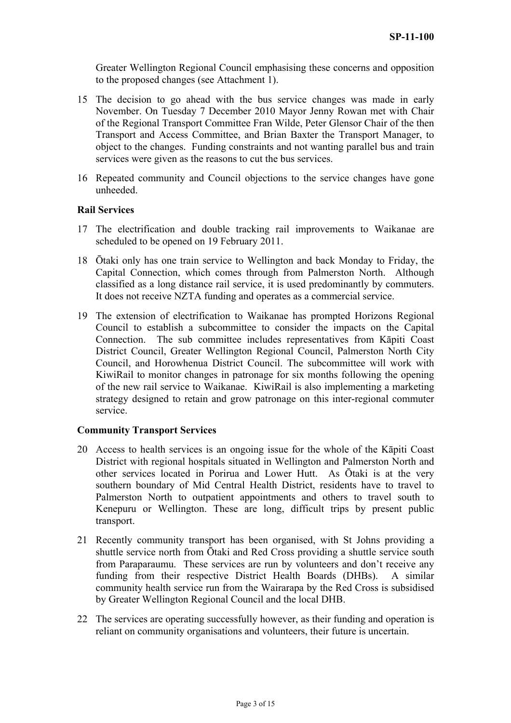Greater Wellington Regional Council emphasising these concerns and opposition to the proposed changes (see Attachment 1).

- 15 The decision to go ahead with the bus service changes was made in early November. On Tuesday 7 December 2010 Mayor Jenny Rowan met with Chair of the Regional Transport Committee Fran Wilde, Peter Glensor Chair of the then Transport and Access Committee, and Brian Baxter the Transport Manager, to object to the changes. Funding constraints and not wanting parallel bus and train services were given as the reasons to cut the bus services.
- 16 Repeated community and Council objections to the service changes have gone unheeded.

#### **Rail Services**

- 17 The electrification and double tracking rail improvements to Waikanae are scheduled to be opened on 19 February 2011.
- 18 Ōtaki only has one train service to Wellington and back Monday to Friday, the Capital Connection, which comes through from Palmerston North. Although classified as a long distance rail service, it is used predominantly by commuters. It does not receive NZTA funding and operates as a commercial service.
- 19 The extension of electrification to Waikanae has prompted Horizons Regional Council to establish a subcommittee to consider the impacts on the Capital Connection. The sub committee includes representatives from Kāpiti Coast District Council, Greater Wellington Regional Council, Palmerston North City Council, and Horowhenua District Council. The subcommittee will work with KiwiRail to monitor changes in patronage for six months following the opening of the new rail service to Waikanae. KiwiRail is also implementing a marketing strategy designed to retain and grow patronage on this inter-regional commuter service.

#### **Community Transport Services**

- 20 Access to health services is an ongoing issue for the whole of the Kāpiti Coast District with regional hospitals situated in Wellington and Palmerston North and other services located in Porirua and Lower Hutt. As Ōtaki is at the very southern boundary of Mid Central Health District, residents have to travel to Palmerston North to outpatient appointments and others to travel south to Kenepuru or Wellington. These are long, difficult trips by present public transport.
- 21 Recently community transport has been organised, with St Johns providing a shuttle service north from Ōtaki and Red Cross providing a shuttle service south from Paraparaumu. These services are run by volunteers and don't receive any funding from their respective District Health Boards (DHBs). A similar community health service run from the Wairarapa by the Red Cross is subsidised by Greater Wellington Regional Council and the local DHB.
- 22 The services are operating successfully however, as their funding and operation is reliant on community organisations and volunteers, their future is uncertain.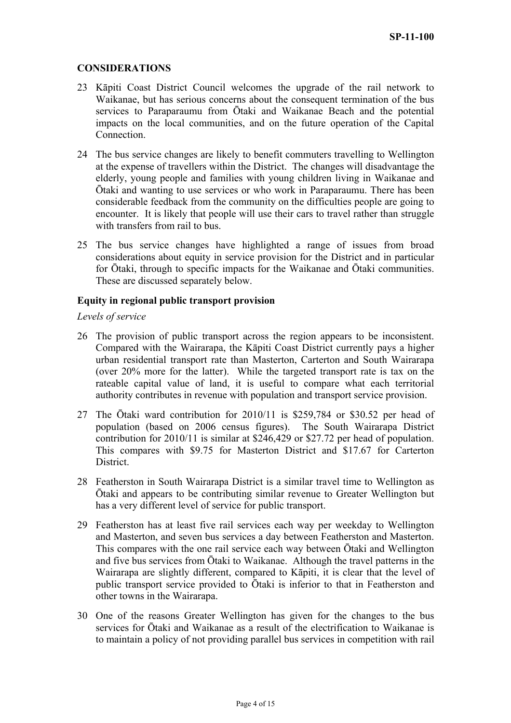## **CONSIDERATIONS**

- 23 Kāpiti Coast District Council welcomes the upgrade of the rail network to Waikanae, but has serious concerns about the consequent termination of the bus services to Paraparaumu from Ōtaki and Waikanae Beach and the potential impacts on the local communities, and on the future operation of the Capital Connection.
- 24 The bus service changes are likely to benefit commuters travelling to Wellington at the expense of travellers within the District. The changes will disadvantage the elderly, young people and families with young children living in Waikanae and Ōtaki and wanting to use services or who work in Paraparaumu. There has been considerable feedback from the community on the difficulties people are going to encounter. It is likely that people will use their cars to travel rather than struggle with transfers from rail to bus.
- 25 The bus service changes have highlighted a range of issues from broad considerations about equity in service provision for the District and in particular for Ōtaki, through to specific impacts for the Waikanae and Ōtaki communities. These are discussed separately below.

## **Equity in regional public transport provision**

## *Levels of service*

- 26 The provision of public transport across the region appears to be inconsistent. Compared with the Wairarapa, the Kāpiti Coast District currently pays a higher urban residential transport rate than Masterton, Carterton and South Wairarapa (over 20% more for the latter). While the targeted transport rate is tax on the rateable capital value of land, it is useful to compare what each territorial authority contributes in revenue with population and transport service provision.
- 27 The Ōtaki ward contribution for 2010/11 is \$259,784 or \$30.52 per head of population (based on 2006 census figures). The South Wairarapa District contribution for 2010/11 is similar at \$246,429 or \$27.72 per head of population. This compares with \$9.75 for Masterton District and \$17.67 for Carterton District.
- 28 Featherston in South Wairarapa District is a similar travel time to Wellington as Ōtaki and appears to be contributing similar revenue to Greater Wellington but has a very different level of service for public transport.
- 29 Featherston has at least five rail services each way per weekday to Wellington and Masterton, and seven bus services a day between Featherston and Masterton. This compares with the one rail service each way between Ōtaki and Wellington and five bus services from Ōtaki to Waikanae. Although the travel patterns in the Wairarapa are slightly different, compared to Kāpiti, it is clear that the level of public transport service provided to Ōtaki is inferior to that in Featherston and other towns in the Wairarapa.
- 30 One of the reasons Greater Wellington has given for the changes to the bus services for Ōtaki and Waikanae as a result of the electrification to Waikanae is to maintain a policy of not providing parallel bus services in competition with rail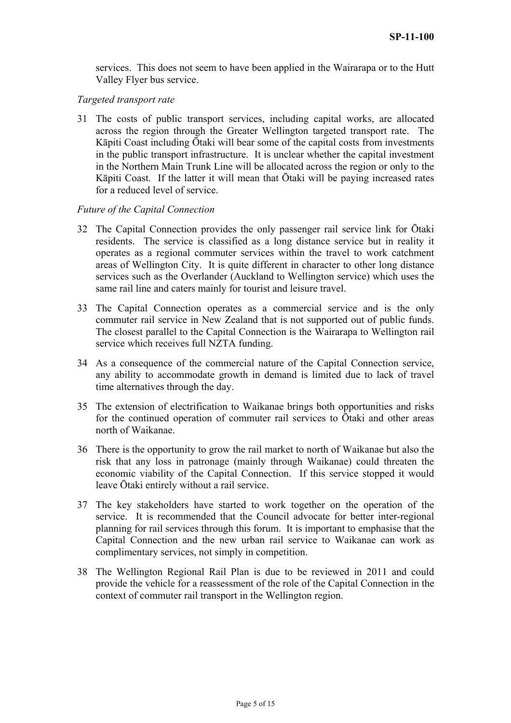services. This does not seem to have been applied in the Wairarapa or to the Hutt Valley Flyer bus service.

## *Targeted transport rate*

31 The costs of public transport services, including capital works, are allocated across the region through the Greater Wellington targeted transport rate. The Kāpiti Coast including Ōtaki will bear some of the capital costs from investments in the public transport infrastructure. It is unclear whether the capital investment in the Northern Main Trunk Line will be allocated across the region or only to the Kāpiti Coast. If the latter it will mean that Ōtaki will be paying increased rates for a reduced level of service.

#### *Future of the Capital Connection*

- 32 The Capital Connection provides the only passenger rail service link for Ōtaki residents. The service is classified as a long distance service but in reality it operates as a regional commuter services within the travel to work catchment areas of Wellington City. It is quite different in character to other long distance services such as the Overlander (Auckland to Wellington service) which uses the same rail line and caters mainly for tourist and leisure travel.
- 33 The Capital Connection operates as a commercial service and is the only commuter rail service in New Zealand that is not supported out of public funds. The closest parallel to the Capital Connection is the Wairarapa to Wellington rail service which receives full NZTA funding.
- 34 As a consequence of the commercial nature of the Capital Connection service, any ability to accommodate growth in demand is limited due to lack of travel time alternatives through the day.
- 35 The extension of electrification to Waikanae brings both opportunities and risks for the continued operation of commuter rail services to Ōtaki and other areas north of Waikanae.
- 36 There is the opportunity to grow the rail market to north of Waikanae but also the risk that any loss in patronage (mainly through Waikanae) could threaten the economic viability of the Capital Connection. If this service stopped it would leave Ōtaki entirely without a rail service.
- 37 The key stakeholders have started to work together on the operation of the service. It is recommended that the Council advocate for better inter-regional planning for rail services through this forum. It is important to emphasise that the Capital Connection and the new urban rail service to Waikanae can work as complimentary services, not simply in competition.
- 38 The Wellington Regional Rail Plan is due to be reviewed in 2011 and could provide the vehicle for a reassessment of the role of the Capital Connection in the context of commuter rail transport in the Wellington region.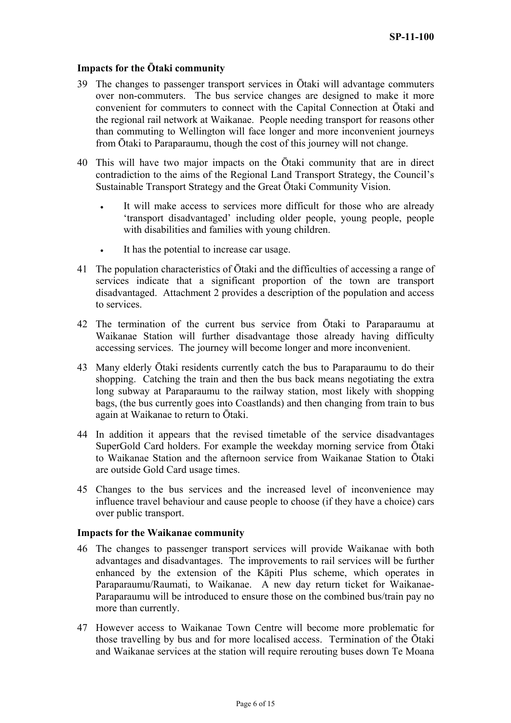## **Impacts for the Ōtaki community**

- 39 The changes to passenger transport services in Ōtaki will advantage commuters over non-commuters. The bus service changes are designed to make it more convenient for commuters to connect with the Capital Connection at Ōtaki and the regional rail network at Waikanae. People needing transport for reasons other than commuting to Wellington will face longer and more inconvenient journeys from Ōtaki to Paraparaumu, though the cost of this journey will not change.
- 40 This will have two major impacts on the Ōtaki community that are in direct contradiction to the aims of the Regional Land Transport Strategy, the Council's Sustainable Transport Strategy and the Great Ōtaki Community Vision.
	- It will make access to services more difficult for those who are already 'transport disadvantaged' including older people, young people, people with disabilities and families with young children.
	- It has the potential to increase car usage.
- 41 The population characteristics of Ōtaki and the difficulties of accessing a range of services indicate that a significant proportion of the town are transport disadvantaged. Attachment 2 provides a description of the population and access to services.
- 42 The termination of the current bus service from Ōtaki to Paraparaumu at Waikanae Station will further disadvantage those already having difficulty accessing services. The journey will become longer and more inconvenient.
- 43 Many elderly Ōtaki residents currently catch the bus to Paraparaumu to do their shopping. Catching the train and then the bus back means negotiating the extra long subway at Paraparaumu to the railway station, most likely with shopping bags, (the bus currently goes into Coastlands) and then changing from train to bus again at Waikanae to return to Ōtaki.
- 44 In addition it appears that the revised timetable of the service disadvantages SuperGold Card holders. For example the weekday morning service from Ōtaki to Waikanae Station and the afternoon service from Waikanae Station to Ōtaki are outside Gold Card usage times.
- 45 Changes to the bus services and the increased level of inconvenience may influence travel behaviour and cause people to choose (if they have a choice) cars over public transport.

#### **Impacts for the Waikanae community**

- 46 The changes to passenger transport services will provide Waikanae with both advantages and disadvantages. The improvements to rail services will be further enhanced by the extension of the Kāpiti Plus scheme, which operates in Paraparaumu/Raumati, to Waikanae. A new day return ticket for Waikanae-Paraparaumu will be introduced to ensure those on the combined bus/train pay no more than currently.
- 47 However access to Waikanae Town Centre will become more problematic for those travelling by bus and for more localised access. Termination of the Ōtaki and Waikanae services at the station will require rerouting buses down Te Moana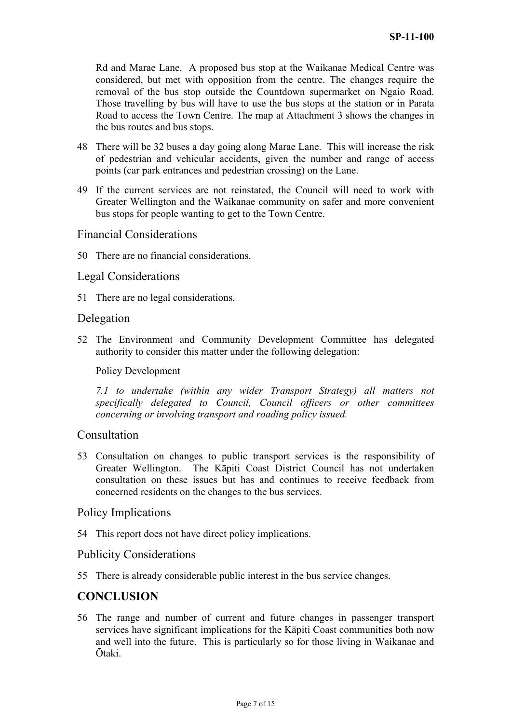Rd and Marae Lane. A proposed bus stop at the Waikanae Medical Centre was considered, but met with opposition from the centre. The changes require the removal of the bus stop outside the Countdown supermarket on Ngaio Road. Those travelling by bus will have to use the bus stops at the station or in Parata Road to access the Town Centre. The map at Attachment 3 shows the changes in the bus routes and bus stops.

- 48 There will be 32 buses a day going along Marae Lane. This will increase the risk of pedestrian and vehicular accidents, given the number and range of access points (car park entrances and pedestrian crossing) on the Lane.
- 49 If the current services are not reinstated, the Council will need to work with Greater Wellington and the Waikanae community on safer and more convenient bus stops for people wanting to get to the Town Centre.

## Financial Considerations

50 There are no financial considerations.

## Legal Considerations

51 There are no legal considerations.

## Delegation

52 The Environment and Community Development Committee has delegated authority to consider this matter under the following delegation:

## Policy Development

*7.1 to undertake (within any wider Transport Strategy) all matters not specifically delegated to Council, Council officers or other committees concerning or involving transport and roading policy issued.* 

## Consultation

53 Consultation on changes to public transport services is the responsibility of Greater Wellington. The Kāpiti Coast District Council has not undertaken consultation on these issues but has and continues to receive feedback from concerned residents on the changes to the bus services.

## Policy Implications

54 This report does not have direct policy implications.

## Publicity Considerations

55 There is already considerable public interest in the bus service changes.

# **CONCLUSION**

56 The range and number of current and future changes in passenger transport services have significant implications for the Kāpiti Coast communities both now and well into the future. This is particularly so for those living in Waikanae and Ōtaki.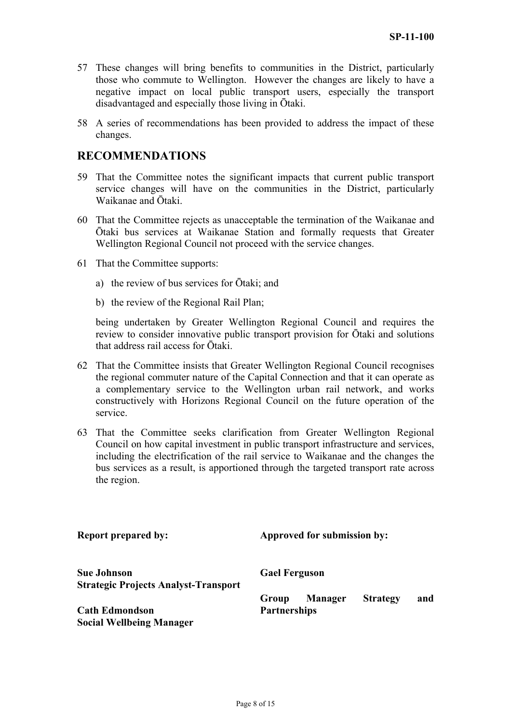- 57 These changes will bring benefits to communities in the District, particularly those who commute to Wellington. However the changes are likely to have a negative impact on local public transport users, especially the transport disadvantaged and especially those living in Ōtaki.
- 58 A series of recommendations has been provided to address the impact of these changes.

# **RECOMMENDATIONS**

- 59 That the Committee notes the significant impacts that current public transport service changes will have on the communities in the District, particularly Waikanae and Ōtaki.
- 60 That the Committee rejects as unacceptable the termination of the Waikanae and Ōtaki bus services at Waikanae Station and formally requests that Greater Wellington Regional Council not proceed with the service changes.
- 61 That the Committee supports:
	- a) the review of bus services for Ōtaki; and
	- b) the review of the Regional Rail Plan;

being undertaken by Greater Wellington Regional Council and requires the review to consider innovative public transport provision for Ōtaki and solutions that address rail access for Ōtaki.

- 62 That the Committee insists that Greater Wellington Regional Council recognises the regional commuter nature of the Capital Connection and that it can operate as a complementary service to the Wellington urban rail network, and works constructively with Horizons Regional Council on the future operation of the service.
- 63 That the Committee seeks clarification from Greater Wellington Regional Council on how capital investment in public transport infrastructure and services, including the electrification of the rail service to Waikanae and the changes the bus services as a result, is apportioned through the targeted transport rate across the region.

| <b>Report prepared by:</b>                                        | Approved for submission by:                                              |  |  |
|-------------------------------------------------------------------|--------------------------------------------------------------------------|--|--|
| <b>Sue Johnson</b><br><b>Strategic Projects Analyst-Transport</b> | <b>Gael Ferguson</b>                                                     |  |  |
| <b>Cath Edmondson</b><br><b>Social Wellbeing Manager</b>          | <b>Manager</b><br><b>Strategy</b><br>and<br>Group<br><b>Partnerships</b> |  |  |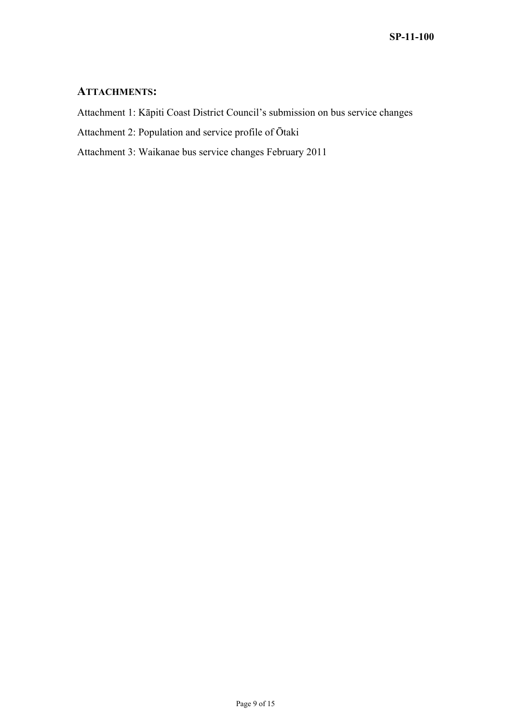# **ATTACHMENTS:**

Attachment 1: Kāpiti Coast District Council's submission on bus service changes

Attachment 2: Population and service profile of Ōtaki

Attachment 3: Waikanae bus service changes February 2011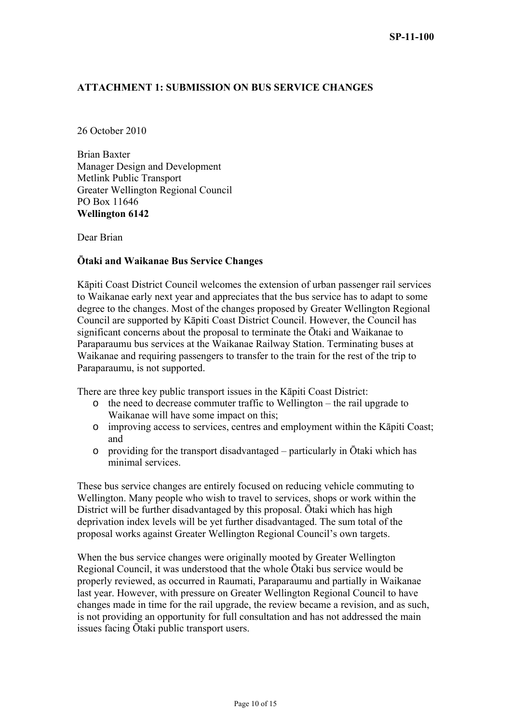## **ATTACHMENT 1: SUBMISSION ON BUS SERVICE CHANGES**

26 October 2010

Brian Baxter Manager Design and Development Metlink Public Transport Greater Wellington Regional Council PO Box 11646 **Wellington 6142** 

Dear Brian

## **Ōtaki and Waikanae Bus Service Changes**

Kāpiti Coast District Council welcomes the extension of urban passenger rail services to Waikanae early next year and appreciates that the bus service has to adapt to some degree to the changes. Most of the changes proposed by Greater Wellington Regional Council are supported by Kāpiti Coast District Council. However, the Council has significant concerns about the proposal to terminate the Ōtaki and Waikanae to Paraparaumu bus services at the Waikanae Railway Station. Terminating buses at Waikanae and requiring passengers to transfer to the train for the rest of the trip to Paraparaumu, is not supported.

There are three key public transport issues in the Kāpiti Coast District:

- o the need to decrease commuter traffic to Wellington the rail upgrade to Waikanae will have some impact on this;
- o improving access to services, centres and employment within the Kāpiti Coast; and
- o providing for the transport disadvantaged particularly in Ōtaki which has minimal services.

These bus service changes are entirely focused on reducing vehicle commuting to Wellington. Many people who wish to travel to services, shops or work within the District will be further disadvantaged by this proposal. Ōtaki which has high deprivation index levels will be yet further disadvantaged. The sum total of the proposal works against Greater Wellington Regional Council's own targets.

When the bus service changes were originally mooted by Greater Wellington Regional Council, it was understood that the whole Ōtaki bus service would be properly reviewed, as occurred in Raumati, Paraparaumu and partially in Waikanae last year. However, with pressure on Greater Wellington Regional Council to have changes made in time for the rail upgrade, the review became a revision, and as such, is not providing an opportunity for full consultation and has not addressed the main issues facing Ōtaki public transport users.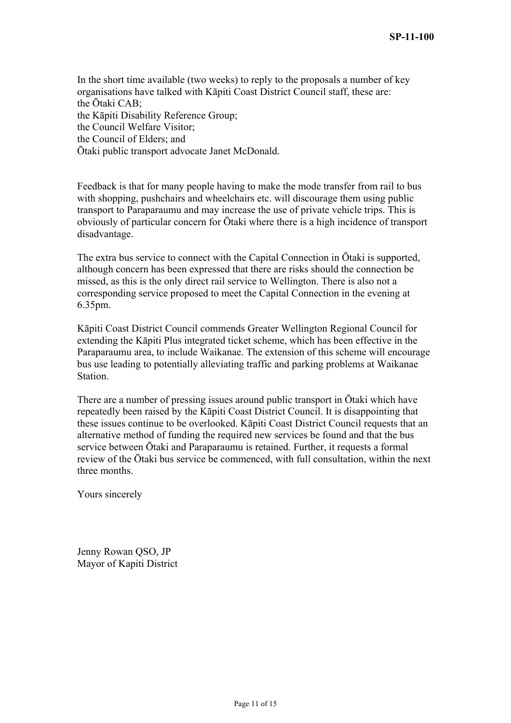In the short time available (two weeks) to reply to the proposals a number of key organisations have talked with Kāpiti Coast District Council staff, these are: the Ōtaki CAB; the Kāpiti Disability Reference Group; the Council Welfare Visitor; the Council of Elders; and Ōtaki public transport advocate Janet McDonald.

Feedback is that for many people having to make the mode transfer from rail to bus with shopping, pushchairs and wheelchairs etc. will discourage them using public transport to Paraparaumu and may increase the use of private vehicle trips. This is obviously of particular concern for Ōtaki where there is a high incidence of transport disadvantage.

The extra bus service to connect with the Capital Connection in Ōtaki is supported, although concern has been expressed that there are risks should the connection be missed, as this is the only direct rail service to Wellington. There is also not a corresponding service proposed to meet the Capital Connection in the evening at 6.35pm.

Kāpiti Coast District Council commends Greater Wellington Regional Council for extending the Kāpiti Plus integrated ticket scheme, which has been effective in the Paraparaumu area, to include Waikanae. The extension of this scheme will encourage bus use leading to potentially alleviating traffic and parking problems at Waikanae Station.

There are a number of pressing issues around public transport in Ōtaki which have repeatedly been raised by the Kāpiti Coast District Council. It is disappointing that these issues continue to be overlooked. Kāpiti Coast District Council requests that an alternative method of funding the required new services be found and that the bus service between Ōtaki and Paraparaumu is retained. Further, it requests a formal review of the Ōtaki bus service be commenced, with full consultation, within the next three months.

Yours sincerely

Jenny Rowan QSO, JP Mayor of Kapiti District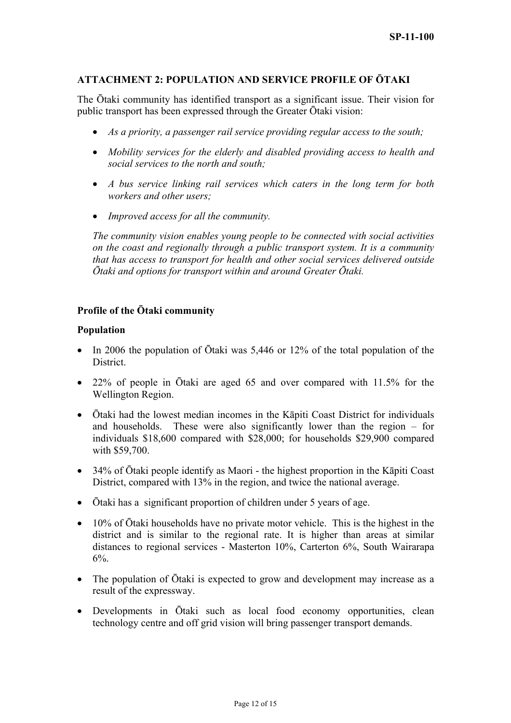## **ATTACHMENT 2: POPULATION AND SERVICE PROFILE OF ŌTAKI**

The Ōtaki community has identified transport as a significant issue. Their vision for public transport has been expressed through the Greater Ōtaki vision:

- *As a priority, a passenger rail service providing regular access to the south;*
- *Mobility services for the elderly and disabled providing access to health and social services to the north and south;*
- *A bus service linking rail services which caters in the long term for both workers and other users;*
- *Improved access for all the community.*

*The community vision enables young people to be connected with social activities on the coast and regionally through a public transport system. It is a community that has access to transport for health and other social services delivered outside Ōtaki and options for transport within and around Greater Ōtaki.*

#### **Profile of the Ōtaki community**

#### **Population**

- In 2006 the population of Ōtaki was 5,446 or 12% of the total population of the **District**
- 22% of people in Ōtaki are aged 65 and over compared with 11.5% for the Wellington Region.
- Ōtaki had the lowest median incomes in the Kāpiti Coast District for individuals and households. These were also significantly lower than the region – for individuals \$18,600 compared with \$28,000; for households \$29,900 compared with \$59,700.
- 34% of Ōtaki people identify as Maori the highest proportion in the Kāpiti Coast District, compared with 13% in the region, and twice the national average.
- Ōtaki has a significant proportion of children under 5 years of age.
- 10% of Ōtaki households have no private motor vehicle. This is the highest in the district and is similar to the regional rate. It is higher than areas at similar distances to regional services - Masterton 10%, Carterton 6%, South Wairarapa  $6\%$ .
- The population of Ōtaki is expected to grow and development may increase as a result of the expressway.
- Developments in Ōtaki such as local food economy opportunities, clean technology centre and off grid vision will bring passenger transport demands.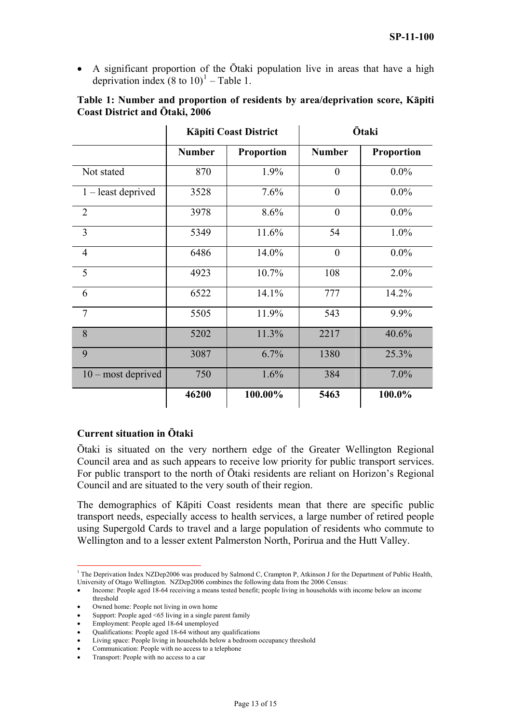<span id="page-12-0"></span>• A significant proportion of the Otaki population live in areas that have a high deprivation index  $(8 \text{ to } 10)^1$  $(8 \text{ to } 10)^1$  $(8 \text{ to } 10)^1$  – Table 1.

| Table 1: Number and proportion of residents by area/deprivation score, Kapiti                                                                                                                                                                                                                                                                                           |                 |  |
|-------------------------------------------------------------------------------------------------------------------------------------------------------------------------------------------------------------------------------------------------------------------------------------------------------------------------------------------------------------------------|-----------------|--|
| <b>Coast District and Otaki, 2006</b>                                                                                                                                                                                                                                                                                                                                   |                 |  |
| $V = \frac{1}{2} \int_0^1 \frac{1}{2} \int_0^1 \frac{1}{2} \int_0^1 \frac{1}{2} \int_0^1 \frac{1}{2} \int_0^1 \frac{1}{2} \int_0^1 \frac{1}{2} \int_0^1 \frac{1}{2} \int_0^1 \frac{1}{2} \int_0^1 \frac{1}{2} \int_0^1 \frac{1}{2} \int_0^1 \frac{1}{2} \int_0^1 \frac{1}{2} \int_0^1 \frac{1}{2} \int_0^1 \frac{1}{2} \int_0^1 \frac{1}{2} \int_0^1 \frac{1}{2} \int_$ | $\bar{O}$ 4.1.2 |  |

|                      | <b>Kāpiti Coast District</b> |                   | <b>Ōtaki</b>  |                   |
|----------------------|------------------------------|-------------------|---------------|-------------------|
|                      | <b>Number</b>                | <b>Proportion</b> | <b>Number</b> | <b>Proportion</b> |
| Not stated           | 870                          | 1.9%              | $\theta$      | $0.0\%$           |
| $1$ – least deprived | 3528                         | 7.6%              | $\theta$      | $0.0\%$           |
| $\overline{2}$       | 3978                         | 8.6%              | $\theta$      | $0.0\%$           |
| $\overline{3}$       | 5349                         | 11.6%             | 54            | 1.0%              |
| $\overline{4}$       | 6486                         | 14.0%             | $\theta$      | $0.0\%$           |
| 5                    | 4923                         | 10.7%             | 108           | 2.0%              |
| 6                    | 6522                         | 14.1%             | 777           | 14.2%             |
| $\tau$               | 5505                         | 11.9%             | 543           | 9.9%              |
| 8                    | 5202                         | 11.3%             | 2217          | 40.6%             |
| 9                    | 3087                         | 6.7%              | 1380          | 25.3%             |
| $10$ – most deprived | 750                          | 1.6%              | 384           | 7.0%              |
|                      | 46200                        | 100.00%           | 5463          | 100.0%            |

## **Current situation in Ōtaki**

Ōtaki is situated on the very northern edge of the Greater Wellington Regional Council area and as such appears to receive low priority for public transport services. For public transport to the north of Ōtaki residents are reliant on Horizon's Regional Council and are situated to the very south of their region.

The demographics of Kāpiti Coast residents mean that there are specific public transport needs, especially access to health services, a large number of retired people using Supergold Cards to travel and a large population of residents who commute to Wellington and to a lesser extent Palmerston North, Porirua and the Hutt Valley.

 $\overline{a}$ 

<sup>&</sup>lt;sup>1</sup> The Deprivation Index NZDep2006 was produced by Salmond C, Crampton P, Atkinson J for the Department of Public Health, University of Otago Wellington. NZDep2006 combines the following data from the 2006 Census:

<sup>•</sup> Income: People aged 18-64 receiving a means tested benefit; people living in households with income below an income threshold

Owned home: People not living in own home

Support: People aged <65 living in a single parent family

<sup>•</sup> Employment: People aged 18-64 unemployed

<sup>•</sup> Qualifications: People aged 18-64 without any qualifications

<sup>•</sup> Living space: People living in households below a bedroom occupancy threshold

<sup>•</sup> Communication: People with no access to a telephone

<sup>•</sup> Transport: People with no access to a car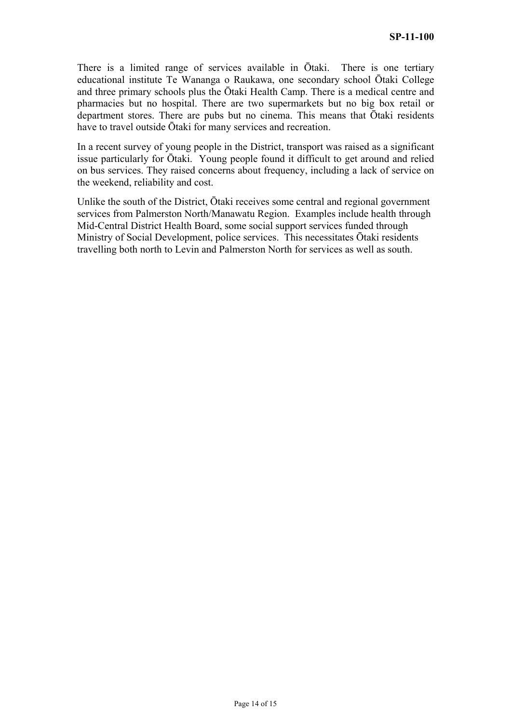There is a limited range of services available in Ōtaki. There is one tertiary educational institute Te Wananga o Raukawa, one secondary school Ōtaki College and three primary schools plus the Ōtaki Health Camp. There is a medical centre and pharmacies but no hospital. There are two supermarkets but no big box retail or department stores. There are pubs but no cinema. This means that Ōtaki residents have to travel outside Ōtaki for many services and recreation.

In a recent survey of young people in the District, transport was raised as a significant issue particularly for Ōtaki. Young people found it difficult to get around and relied on bus services. They raised concerns about frequency, including a lack of service on the weekend, reliability and cost.

Unlike the south of the District, Ōtaki receives some central and regional government services from Palmerston North/Manawatu Region. Examples include health through Mid-Central District Health Board, some social support services funded through Ministry of Social Development, police services. This necessitates Ōtaki residents travelling both north to Levin and Palmerston North for services as well as south.